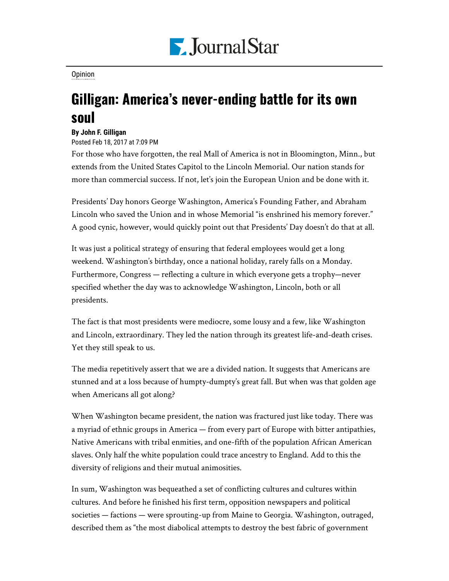

**[Opinion](https://www.pjstar.com/search?text=Opinion)** 

## Gilligan: America's never-ending battle for its own soul

## **By John F. Gilligan**

Posted Feb 18, 2017 at 7:09 PM

For those who have forgotten, the real Mall of America is not in Bloomington, Minn., but extends from the United States Capitol to the Lincoln Memorial. Our nation stands for more than commercial success. If not, let's join the European Union and be done with it.

Presidents' Day honors George Washington, America's Founding Father, and Abraham Lincoln who saved the Union and in whose Memorial "is enshrined his memory forever." A good cynic, however, would quickly point out that Presidents' Day doesn't do that at all.

It was just a political strategy of ensuring that federal employees would get a long weekend. Washington's birthday, once a national holiday, rarely falls on a Monday. Furthermore, Congress — reflecting a culture in which everyone gets a trophy—never specified whether the day was to acknowledge Washington, Lincoln, both or all presidents.

The fact is that most presidents were mediocre, some lousy and a few, like Washington and Lincoln, extraordinary. They led the nation through its greatest life-and-death crises. Yet they still speak to us.

The media repetitively assert that we are a divided nation. It suggests that Americans are stunned and at a loss because of humpty-dumpty's great fall. But when was that golden age when Americans all got along?

When Washington became president, the nation was fractured just like today. There was a myriad of ethnic groups in America — from every part of Europe with bitter antipathies, Native Americans with tribal enmities, and one-fifth of the population African American slaves. Only half the white population could trace ancestry to England. Add to this the diversity of religions and their mutual animosities.

In sum, Washington was bequeathed a set of conflicting cultures and cultures within cultures. And before he finished his first term, opposition newspapers and political societies — factions — were sprouting-up from Maine to Georgia. Washington, outraged, described them as "the most diabolical attempts to destroy the best fabric of government